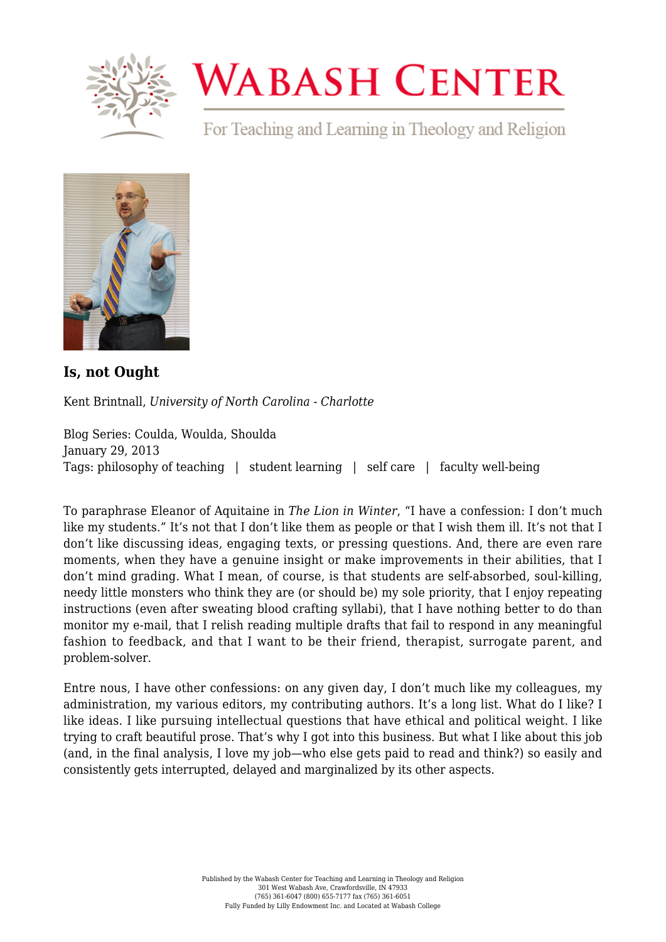

## **WABASH CENTER**

For Teaching and Learning in Theology and Religion



**[Is, not Ought](https://www.wabashcenter.wabash.edu/2013/01/is-not-ought/)**

Kent Brintnall, *University of North Carolina - Charlotte*

Blog Series: Coulda, Woulda, Shoulda January 29, 2013 Tags: philosophy of teaching | student learning | self care | faculty well-being

To paraphrase Eleanor of Aquitaine in *The Lion in Winter*, "I have a confession: I don't much like my students." It's not that I don't like them as people or that I wish them ill. It's not that I don't like discussing ideas, engaging texts, or pressing questions. And, there are even rare moments, when they have a genuine insight or make improvements in their abilities, that I don't mind grading. What I mean, of course, is that students are self-absorbed, soul-killing, needy little monsters who think they are (or should be) my sole priority, that I enjoy repeating instructions (even after sweating blood crafting syllabi), that I have nothing better to do than monitor my e-mail, that I relish reading multiple drafts that fail to respond in any meaningful fashion to feedback, and that I want to be their friend, therapist, surrogate parent, and problem-solver.

Entre nous, I have other confessions: on any given day, I don't much like my colleagues, my administration, my various editors, my contributing authors. It's a long list. What do I like? I like ideas. I like pursuing intellectual questions that have ethical and political weight. I like trying to craft beautiful prose. That's why I got into this business. But what I like about this job (and, in the final analysis, I love my job—who else gets paid to read and think?) so easily and consistently gets interrupted, delayed and marginalized by its other aspects.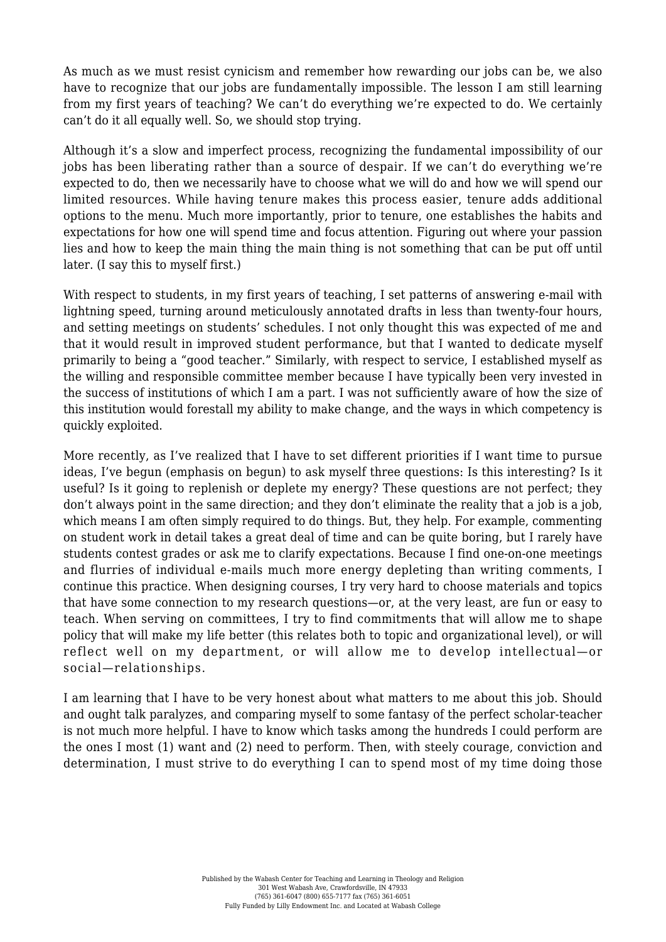As much as we must resist cynicism and remember how rewarding our jobs can be, we also have to recognize that our jobs are fundamentally impossible. The lesson I am still learning from my first years of teaching? We can't do everything we're expected to do. We certainly can't do it all equally well. So, we should stop trying.

Although it's a slow and imperfect process, recognizing the fundamental impossibility of our jobs has been liberating rather than a source of despair. If we can't do everything we're expected to do, then we necessarily have to choose what we will do and how we will spend our limited resources. While having tenure makes this process easier, tenure adds additional options to the menu. Much more importantly, prior to tenure, one establishes the habits and expectations for how one will spend time and focus attention. Figuring out where your passion lies and how to keep the main thing the main thing is not something that can be put off until later. (I say this to myself first.)

With respect to students, in my first years of teaching, I set patterns of answering e-mail with lightning speed, turning around meticulously annotated drafts in less than twenty-four hours, and setting meetings on students' schedules. I not only thought this was expected of me and that it would result in improved student performance, but that I wanted to dedicate myself primarily to being a "good teacher." Similarly, with respect to service, I established myself as the willing and responsible committee member because I have typically been very invested in the success of institutions of which I am a part. I was not sufficiently aware of how the size of this institution would forestall my ability to make change, and the ways in which competency is quickly exploited.

More recently, as I've realized that I have to set different priorities if I want time to pursue ideas, I've begun (emphasis on begun) to ask myself three questions: Is this interesting? Is it useful? Is it going to replenish or deplete my energy? These questions are not perfect; they don't always point in the same direction; and they don't eliminate the reality that a job is a job, which means I am often simply required to do things. But, they help. For example, commenting on student work in detail takes a great deal of time and can be quite boring, but I rarely have students contest grades or ask me to clarify expectations. Because I find one-on-one meetings and flurries of individual e-mails much more energy depleting than writing comments, I continue this practice. When designing courses, I try very hard to choose materials and topics that have some connection to my research questions—or, at the very least, are fun or easy to teach. When serving on committees, I try to find commitments that will allow me to shape policy that will make my life better (this relates both to topic and organizational level), or will reflect well on my department, or will allow me to develop intellectual—or social—relationships.

I am learning that I have to be very honest about what matters to me about this job. Should and ought talk paralyzes, and comparing myself to some fantasy of the perfect scholar-teacher is not much more helpful. I have to know which tasks among the hundreds I could perform are the ones I most (1) want and (2) need to perform. Then, with steely courage, conviction and determination, I must strive to do everything I can to spend most of my time doing those